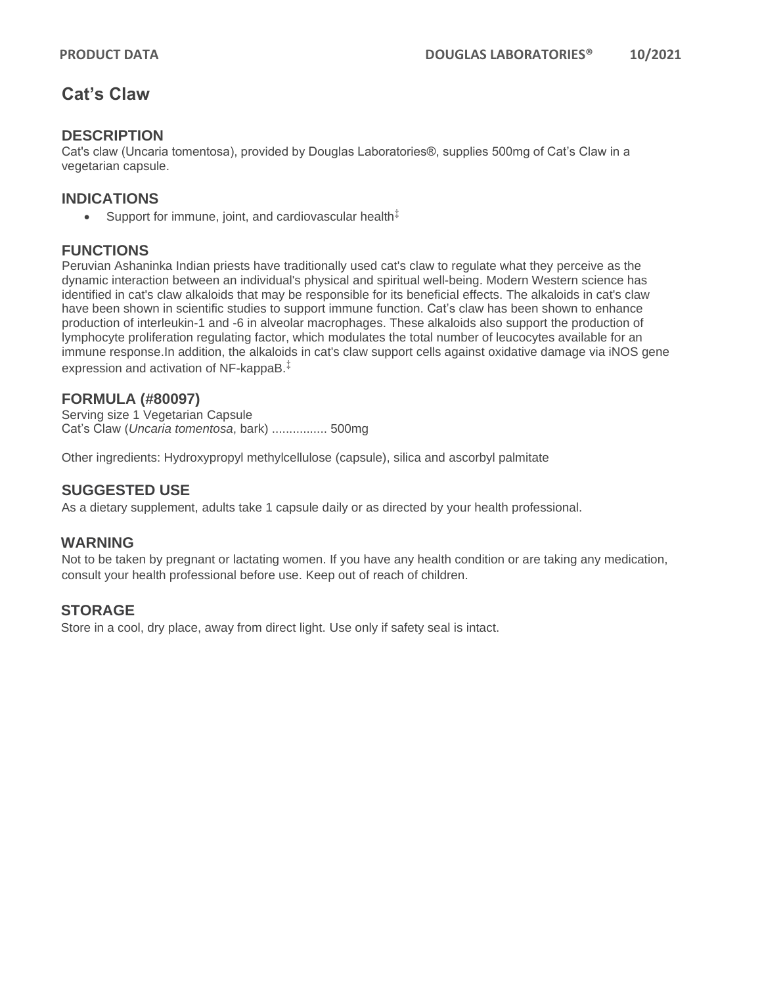## **Cat's Claw**

## **DESCRIPTION**

Cat's claw (Uncaria tomentosa), provided by Douglas Laboratories®, supplies 500mg of Cat's Claw in a vegetarian capsule.

## **INDICATIONS**

• Support for immune, joint, and cardiovascular health $\ddot{A}$ 

## **FUNCTIONS**

Peruvian Ashaninka Indian priests have traditionally used cat's claw to regulate what they perceive as the dynamic interaction between an individual's physical and spiritual well-being. Modern Western science has identified in cat's claw alkaloids that may be responsible for its beneficial effects. The alkaloids in cat's claw have been shown in scientific studies to support immune function. Cat's claw has been shown to enhance production of interleukin-1 and -6 in alveolar macrophages. These alkaloids also support the production of lymphocyte proliferation regulating factor, which modulates the total number of leucocytes available for an immune response.In addition, the alkaloids in cat's claw support cells against oxidative damage via iNOS gene expression and activation of NF-kappaB.‡

#### **FORMULA (#80097)**

Serving size 1 Vegetarian Capsule Cat's Claw (*Uncaria tomentosa*, bark) ................ 500mg

Other ingredients: Hydroxypropyl methylcellulose (capsule), silica and ascorbyl palmitate

#### **SUGGESTED USE**

As a dietary supplement, adults take 1 capsule daily or as directed by your health professional.

#### **WARNING**

Not to be taken by pregnant or lactating women. If you have any health condition or are taking any medication, consult your health professional before use. Keep out of reach of children.

#### **STORAGE**

Store in a cool, dry place, away from direct light. Use only if safety seal is intact.